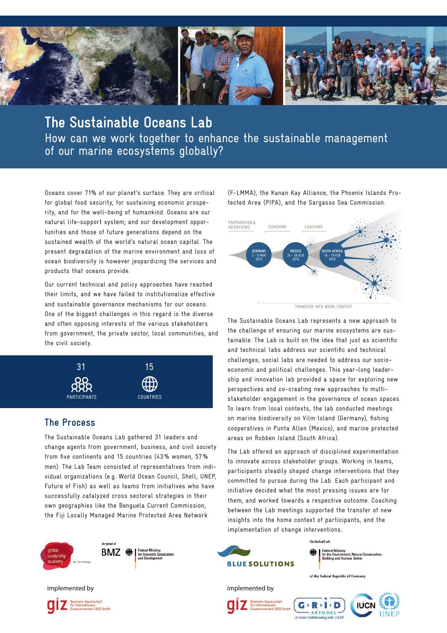

**The Sustainable Oceans Lab**  How can we work together to enhance the sustainable management of our marine ecosystems globally?

Oceans cover 71% of our planet's surface. They are critical for global food security, for sustaining economic prosperity, and for the well-being of humankind. Oceans are our natural life-support system; and our development opportunities and those of future generations depend on the sustained wealth of the world's natural ocean capital. The present degradation of the marine environment and loss of ocean biodiversity is however jeopardizing the services and products that oceans provide.

Our current technical and policy approaches have reached their limits, and we have failed to institutionalize effective and sustainable governance mechanisms for our oceans. One of the biggest challenges in this regard is the diverse and often opposing interests of the various stakeholders from government, the private sector, local communities, and the civil society.



# **The Process**

The Sustainable Oceans Lab gathered 31 leaders and change agents from government, business, and civil society from five continents and 15 countries (43% women, 57% men). The Lab Team consisted of representatives from individual organizations (e.g. World Ocean Council, Shell, UNEP, Future of Fish) as well as teams from initiatives who have successfully catalyzed cross sectoral strategies in their own geographies like the Benguela Current Commission, the Fiji Locally Managed Marine Protected Area Network



tsche Gesellschaft lionale<br>irbeit (GIZ) GmbH

(F-LMMA), the Kanan Kay Alliance, the Phoenix Islands Protected Area (PIPA), and the Sargasso Sea Commission.



TRANSFER INTO WORK CONTEXT

The Sustainable Oceans Lab represents a new approach to the challenge of ensuring our marine ecosystems are sustainable. The Lab is built on the idea that just as scientific and technical labs address our scientific and technical challenges; social labs are needed to address our socioeconomic and political challenges. This year-long leadership and innovation lab provided a space for exploring new perspectives and co-creating new approaches to multistakeholder engagement in the governance of ocean spaces. To learn from local contexts, the lab conducted meetings on marine biodiversity on Vilm Island (Germany), fishing cooperatives in Punta Allen (Mexico), and marine protected areas on Robben Island (South Africa).

The Lab offered an approach of disciplined experimentation to innovate across stakeholder groups. Working in teams, participants steadily shaped change interventions that they committed to pursue during the Lab. Each participant and initiative decided what the most pressing issues are for them, and worked towards a respective outcome. Coaching between the Lab meetings supported the transfer of new insights into the home context of participants, and the implementation of change interventions.

 $P: I: D$ 

ting with **UNED** 

ARENDA



A Centre Collal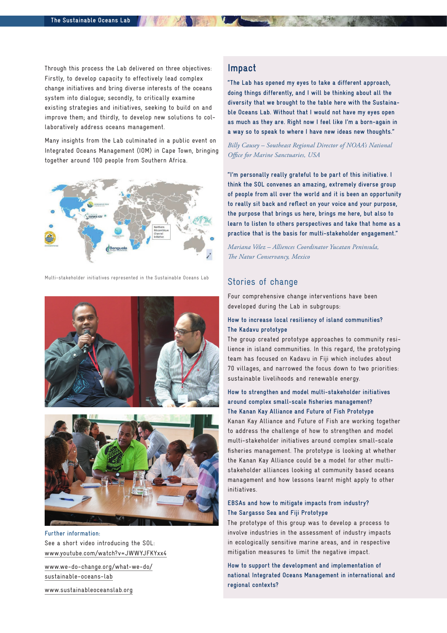Through this process the Lab delivered on three objectives: Firstly, to develop capacity to effectively lead complex change initiatives and bring diverse interests of the oceans system into dialogue; secondly, to critically examine existing strategies and initiatives, seeking to build on and improve them; and thirdly, to develop new solutions to collaboratively address oceans management.

Many insights from the Lab culminated in a public event on Integrated Oceans Management (IOM) in Cape Town, bringing together around 100 people from Southern Africa.



Multi-stakeholder initiatives represented in the Sustainable Oceans Lab





**Further information:** See a short video introducing the SOL: www.youtube.com/watch?v=JWWYJFKYxx4

www.we-do-change.org/what-we-do/ sustainable-oceans-lab

www.sustainableoceanslab.org

# **Impact**

**"The Lab has opened my eyes to take a different approach, doing things differently, and I will be thinking about all the diversity that we brought to the table here with the Sustainable Oceans Lab. Without that I would not have my eyes open as much as they are. Right now I feel like I'm a born-again in a way so to speak to where I have new ideas new thoughts."**

*Billy Causey – Southeast Regional Director of NOAA's National Office for Marine Sanctuaries, USA*

**"I'm personally really grateful to be part of this initiative. I think the SOL convenes an amazing, extremely diverse group of people from all over the world and it is been an opportunity to really sit back and reflect on your voice and your purpose, the purpose that brings us here, brings me here, but also to learn to listen to others perspectives and take that home as a practice that is the basis for multi-stakeholder engagement."** 

*Mariana Vélez – Alliences Coordinator Yucatan Peninsula, The Natur Conservancy, Mexico*

## Stories of change

Four comprehensive change interventions have been developed during the Lab in subgroups:

#### **How to increase local resiliency of island communities? The Kadavu prototype**

The group created prototype approaches to community resilience in island communities. In this regard, the prototyping team has focused on Kadavu in Fiji which includes about 70 villages, and narrowed the focus down to two priorities: sustainable livelihoods and renewable energy.

#### **How to strengthen and model multi-stakeholder initiatives around complex small-scale fisheries management? The Kanan Kay Alliance and Future of Fish Prototype**

Kanan Kay Alliance and Future of Fish are working together to address the challenge of how to strengthen and model multi-stakeholder initiatives around complex small-scale fisheries management. The prototype is looking at whether the Kanan Kay Alliance could be a model for other multistakeholder alliances looking at community based oceans management and how lessons learnt might apply to other initiatives.

#### **EBSAs and how to mitigate impacts from industry? The Sargasso Sea and Fiji Prototype**

The prototype of this group was to develop a process to involve industries in the assessment of industry impacts in ecologically sensitive marine areas, and in respective mitigation measures to limit the negative impact.

**How to support the development and implementation of national Integrated Oceans Management in international and regional contexts?**